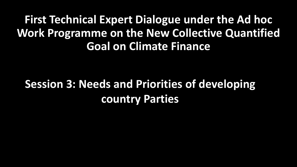## **First Technical Expert Dialogue under the Ad hoc Work Programme on the New Collective Quantified Goal on Climate Finance**

# **Session 3: Needs and Priorities of developing country Parties**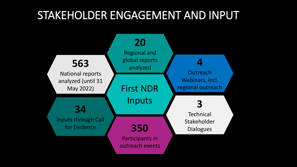### STAKEHOLDER ENGAGEMENT AND INPUT

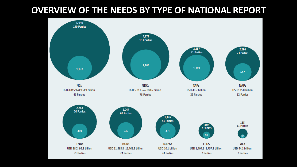### **OVERVIEW OF THE NEEDS BY TYPE OF NATIONAL REPORT**

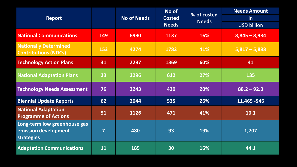|                                                                           |                         | <b>No of Needs</b> | No of<br><b>Costed</b><br><b>Needs</b> |                             | <b>Needs Amount</b> |  |
|---------------------------------------------------------------------------|-------------------------|--------------------|----------------------------------------|-----------------------------|---------------------|--|
| <b>Report</b>                                                             |                         |                    |                                        | % of costed<br><b>Needs</b> | $\ln$               |  |
|                                                                           |                         |                    |                                        |                             | <b>USD billion</b>  |  |
| <b>National Communications</b>                                            | 149                     | 6990               | 1137                                   | 16%                         | $8,845 - 8,934$     |  |
| <b>Nationally Determined</b><br><b>Contributions (NDCs)</b>               | 153                     | 4274               | 1782                                   | 41%                         | $5,817 - 5,888$     |  |
| <b>Technology Action Plans</b>                                            | 31                      | 2287               | 1369                                   | 60%                         | 41                  |  |
| <b>National Adaptation Plans</b>                                          | 23                      | 2296               | 612                                    | 27%                         | 135                 |  |
| <b>Technology Needs Assessment</b>                                        | 76                      | 2243               | 439                                    | 20%                         | $88.2 - 92.3$       |  |
| <b>Biennial Update Reports</b>                                            | 62                      | 2044               | 535                                    | 26%                         | 11,465 - 546        |  |
| <b>National Adaptation</b><br><b>Programme of Actions</b>                 | 51                      | 1126               | 471                                    | 41%                         | $10.1$              |  |
| Long-term low greenhouse gas<br>emission development<br><b>strategies</b> | $\overline{\mathbf{z}}$ | 480                | 93                                     | 19%                         | 1,707               |  |
| <b>Adaptation Communications</b>                                          | 11                      | 185                | 30                                     | 16%                         | 44.1                |  |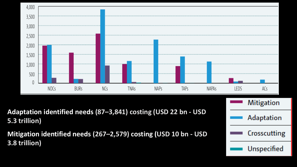

**Adaptation identified needs (87–3,841) costing (USD 22 bn - USD 5.3 trillion)** 

**Mitigation identified needs (267–2,579) costing (USD 10 bn - USD 3.8 trillion)**

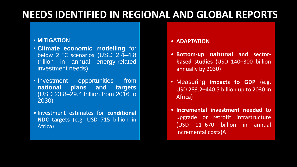### **NEEDS IDENTIFIED IN REGIONAL AND GLOBAL REPORTS**

#### • **MITIGATION**

- **Climate economic modelling** for below 2 °C scenarios (USD 2.4–4.8 trillion in annual energy-related investment needs)
- Investment opportunities from **national plans and targets** (USD 23.8–29.4 trillion from 2016 to 2030)
- Investment estimates for **conditional NDC targets** (e.g. USD 715 billion in Africa)
- **ADAPTATION**
- **Bottom-up national and sectorbased studies** (USD 140–300 billion annually by 2030)
- Measuring **impacts to GDP** (e.g. USD 289.2–440.5 billion up to 2030 in Africa)
- **Incremental investment needed** to upgrade or retrofit infrastructure (USD 11–670 billion in annual incremental costs)A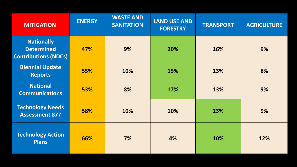| <b>MITIGATION</b>                                                     | <b>ENERGY</b> | <b>WASTE AND</b><br><b>SANITATION</b> | <b>LAND USE AND</b><br><b>FORESTRY</b> | <b>TRANSPORT</b> | <b>AGRICULTURE</b> |
|-----------------------------------------------------------------------|---------------|---------------------------------------|----------------------------------------|------------------|--------------------|
| <b>Nationally</b><br><b>Determined</b><br><b>Contributions (NDCs)</b> | 47%           | 9%                                    | 20%                                    | 16%              | 9%                 |
| <b>Biennial Update</b><br><b>Reports</b>                              | 55%           | 10%                                   | 15%                                    | 13%              | 8%                 |
| <b>National</b><br><b>Communications</b>                              | 53%           | 8%                                    | 17%                                    | 13%              | 9%                 |
| <b>Technology Needs</b><br><b>Assessment 877</b>                      | 58%           | 10%                                   | 10%                                    | 13%              | 9%                 |
| <b>Technology Action</b><br><b>Plans</b>                              | 66%           | 7%                                    | 4%                                     | 10%              | 12%                |